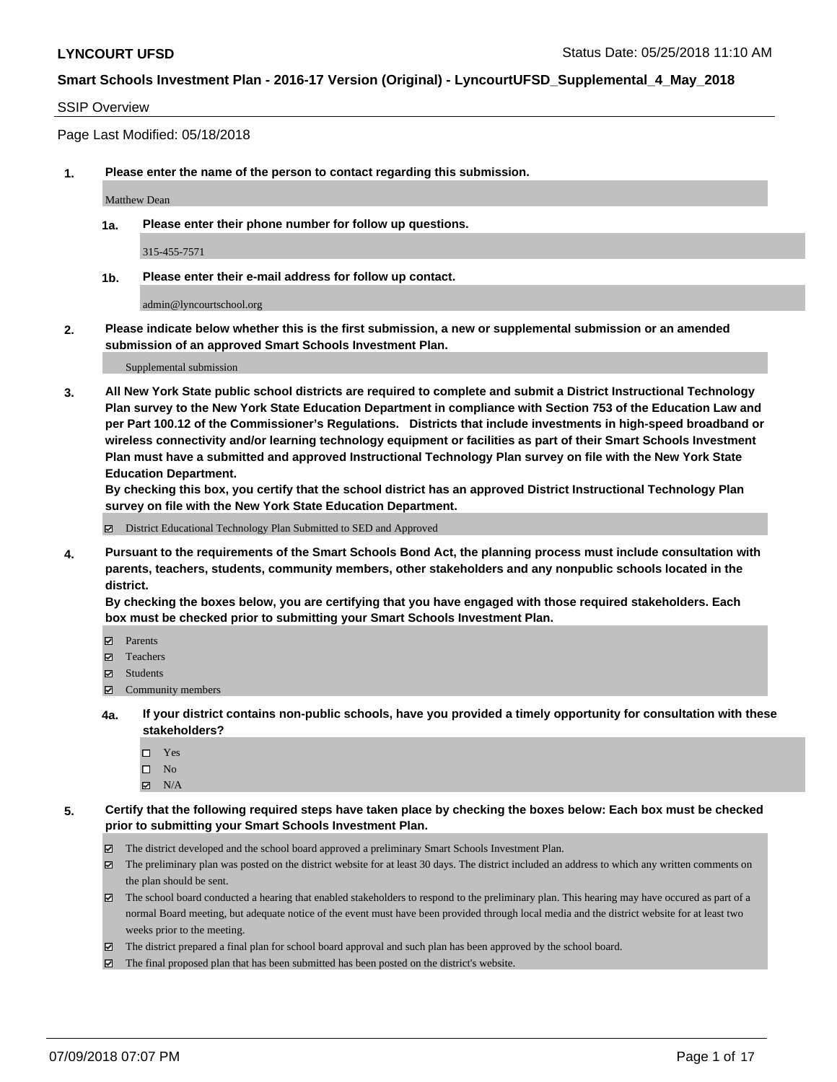### SSIP Overview

Page Last Modified: 05/18/2018

**1. Please enter the name of the person to contact regarding this submission.**

Matthew Dean

**1a. Please enter their phone number for follow up questions.**

315-455-7571

**1b. Please enter their e-mail address for follow up contact.**

admin@lyncourtschool.org

**2. Please indicate below whether this is the first submission, a new or supplemental submission or an amended submission of an approved Smart Schools Investment Plan.**

Supplemental submission

**3. All New York State public school districts are required to complete and submit a District Instructional Technology Plan survey to the New York State Education Department in compliance with Section 753 of the Education Law and per Part 100.12 of the Commissioner's Regulations. Districts that include investments in high-speed broadband or wireless connectivity and/or learning technology equipment or facilities as part of their Smart Schools Investment Plan must have a submitted and approved Instructional Technology Plan survey on file with the New York State Education Department.** 

**By checking this box, you certify that the school district has an approved District Instructional Technology Plan survey on file with the New York State Education Department.**

District Educational Technology Plan Submitted to SED and Approved

**4. Pursuant to the requirements of the Smart Schools Bond Act, the planning process must include consultation with parents, teachers, students, community members, other stakeholders and any nonpublic schools located in the district.** 

**By checking the boxes below, you are certifying that you have engaged with those required stakeholders. Each box must be checked prior to submitting your Smart Schools Investment Plan.**

- Parents
- Teachers
- Students
- $\Xi$  Community members
- **4a. If your district contains non-public schools, have you provided a timely opportunity for consultation with these stakeholders?**
	- Yes
	- $\square$  No
	- $N/A$
- **5. Certify that the following required steps have taken place by checking the boxes below: Each box must be checked prior to submitting your Smart Schools Investment Plan.**
	- The district developed and the school board approved a preliminary Smart Schools Investment Plan.
	- $\boxtimes$  The preliminary plan was posted on the district website for at least 30 days. The district included an address to which any written comments on the plan should be sent.
	- $\boxtimes$  The school board conducted a hearing that enabled stakeholders to respond to the preliminary plan. This hearing may have occured as part of a normal Board meeting, but adequate notice of the event must have been provided through local media and the district website for at least two weeks prior to the meeting.
	- The district prepared a final plan for school board approval and such plan has been approved by the school board.
	- $\boxtimes$  The final proposed plan that has been submitted has been posted on the district's website.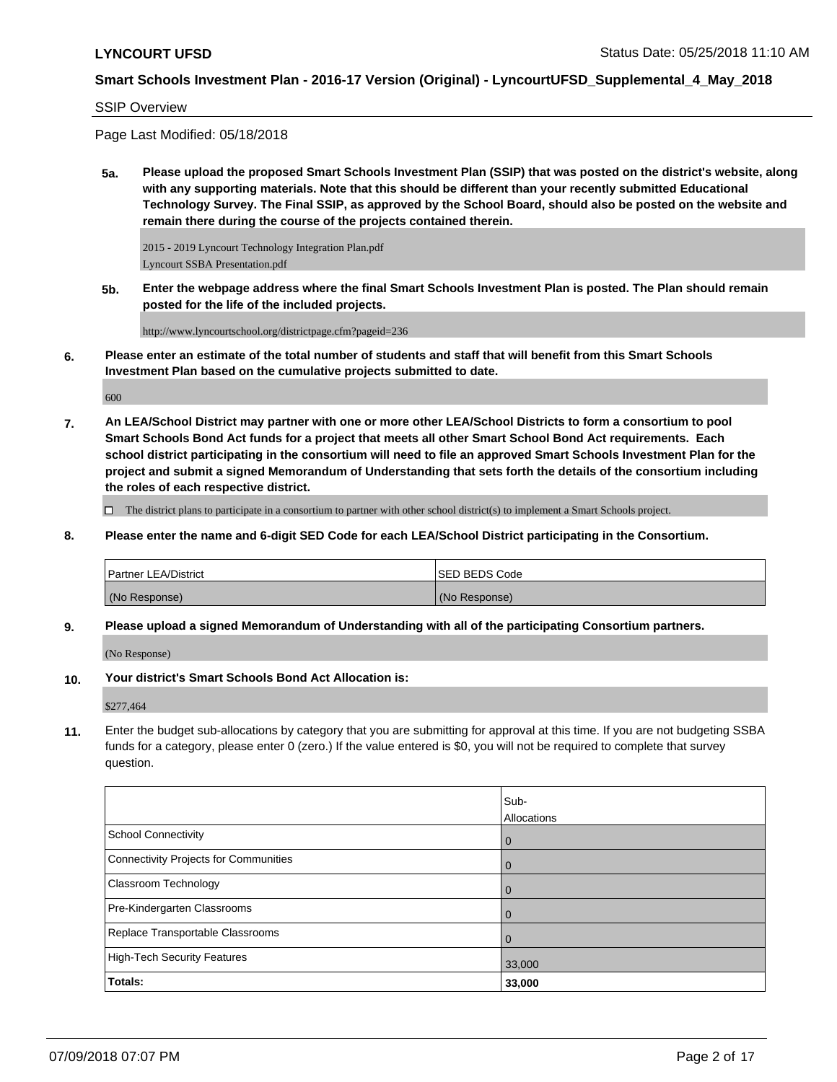### SSIP Overview

Page Last Modified: 05/18/2018

**5a. Please upload the proposed Smart Schools Investment Plan (SSIP) that was posted on the district's website, along with any supporting materials. Note that this should be different than your recently submitted Educational Technology Survey. The Final SSIP, as approved by the School Board, should also be posted on the website and remain there during the course of the projects contained therein.**

2015 - 2019 Lyncourt Technology Integration Plan.pdf Lyncourt SSBA Presentation.pdf

**5b. Enter the webpage address where the final Smart Schools Investment Plan is posted. The Plan should remain posted for the life of the included projects.**

http://www.lyncourtschool.org/districtpage.cfm?pageid=236

**6. Please enter an estimate of the total number of students and staff that will benefit from this Smart Schools Investment Plan based on the cumulative projects submitted to date.**

600

**7. An LEA/School District may partner with one or more other LEA/School Districts to form a consortium to pool Smart Schools Bond Act funds for a project that meets all other Smart School Bond Act requirements. Each school district participating in the consortium will need to file an approved Smart Schools Investment Plan for the project and submit a signed Memorandum of Understanding that sets forth the details of the consortium including the roles of each respective district.**

 $\Box$  The district plans to participate in a consortium to partner with other school district(s) to implement a Smart Schools project.

**8. Please enter the name and 6-digit SED Code for each LEA/School District participating in the Consortium.**

| <b>Partner LEA/District</b> | <b>ISED BEDS Code</b> |
|-----------------------------|-----------------------|
| (No Response)               | (No Response)         |

**9. Please upload a signed Memorandum of Understanding with all of the participating Consortium partners.**

(No Response)

**10. Your district's Smart Schools Bond Act Allocation is:**

\$277,464

**11.** Enter the budget sub-allocations by category that you are submitting for approval at this time. If you are not budgeting SSBA funds for a category, please enter 0 (zero.) If the value entered is \$0, you will not be required to complete that survey question.

|                                       | Sub-           |
|---------------------------------------|----------------|
|                                       | Allocations    |
| School Connectivity                   | l 0            |
| Connectivity Projects for Communities | 0              |
| <b>Classroom Technology</b>           | l 0            |
| Pre-Kindergarten Classrooms           | $\overline{0}$ |
| Replace Transportable Classrooms      | $\overline{0}$ |
| High-Tech Security Features           | 33,000         |
| Totals:                               | 33,000         |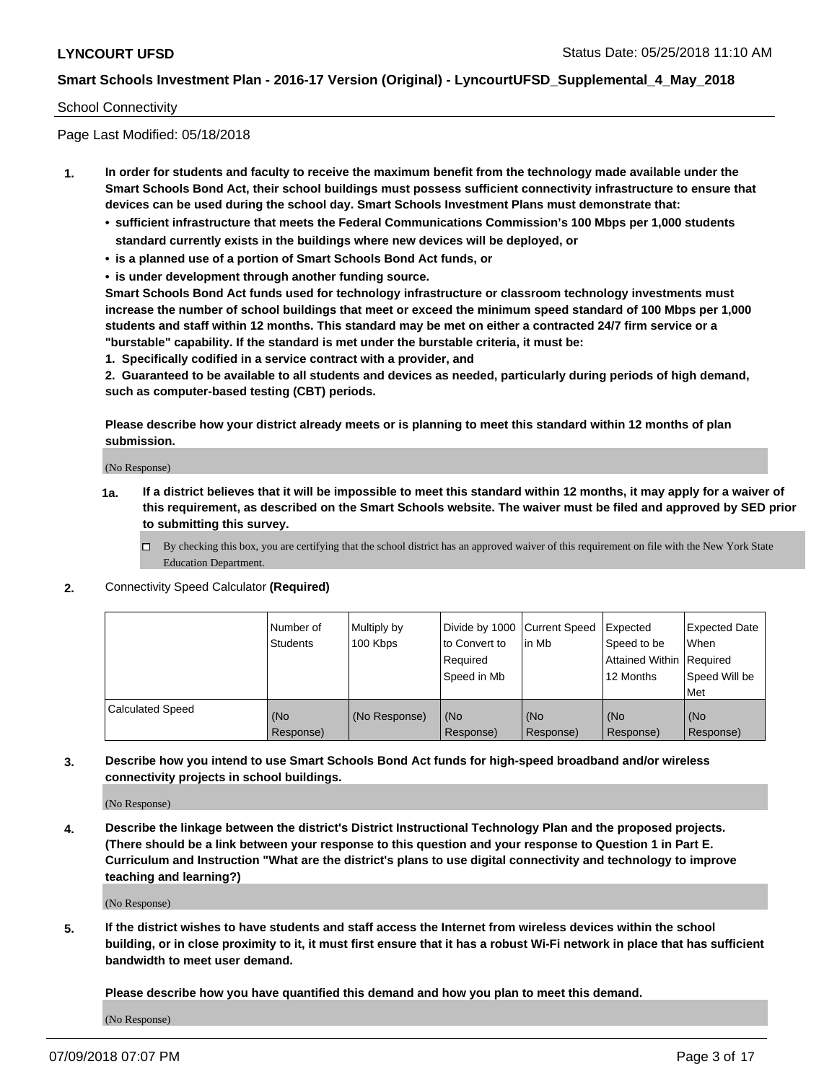#### School Connectivity

Page Last Modified: 05/18/2018

- **1. In order for students and faculty to receive the maximum benefit from the technology made available under the Smart Schools Bond Act, their school buildings must possess sufficient connectivity infrastructure to ensure that devices can be used during the school day. Smart Schools Investment Plans must demonstrate that:**
	- **• sufficient infrastructure that meets the Federal Communications Commission's 100 Mbps per 1,000 students standard currently exists in the buildings where new devices will be deployed, or**
	- **• is a planned use of a portion of Smart Schools Bond Act funds, or**
	- **• is under development through another funding source.**

**Smart Schools Bond Act funds used for technology infrastructure or classroom technology investments must increase the number of school buildings that meet or exceed the minimum speed standard of 100 Mbps per 1,000 students and staff within 12 months. This standard may be met on either a contracted 24/7 firm service or a "burstable" capability. If the standard is met under the burstable criteria, it must be:**

**1. Specifically codified in a service contract with a provider, and**

**2. Guaranteed to be available to all students and devices as needed, particularly during periods of high demand, such as computer-based testing (CBT) periods.**

**Please describe how your district already meets or is planning to meet this standard within 12 months of plan submission.**

(No Response)

- **1a. If a district believes that it will be impossible to meet this standard within 12 months, it may apply for a waiver of this requirement, as described on the Smart Schools website. The waiver must be filed and approved by SED prior to submitting this survey.**
	- By checking this box, you are certifying that the school district has an approved waiver of this requirement on file with the New York State Education Department.
- **2.** Connectivity Speed Calculator **(Required)**

|                         | l Number of<br><b>Students</b> | Multiply by<br>100 Kbps | Divide by 1000 Current Speed<br>to Convert to<br>Reauired<br>Speed in Mb | lin Mb           | Expected<br>Speed to be<br><b>Attained Within Required</b><br>12 Months | Expected Date<br><b>When</b><br>Speed Will be<br>l Met |
|-------------------------|--------------------------------|-------------------------|--------------------------------------------------------------------------|------------------|-------------------------------------------------------------------------|--------------------------------------------------------|
| <b>Calculated Speed</b> | (No<br>Response)               | (No Response)           | (No<br>Response)                                                         | (No<br>Response) | (No<br>Response)                                                        | l (No<br>Response)                                     |

**3. Describe how you intend to use Smart Schools Bond Act funds for high-speed broadband and/or wireless connectivity projects in school buildings.**

(No Response)

**4. Describe the linkage between the district's District Instructional Technology Plan and the proposed projects. (There should be a link between your response to this question and your response to Question 1 in Part E. Curriculum and Instruction "What are the district's plans to use digital connectivity and technology to improve teaching and learning?)**

(No Response)

**5. If the district wishes to have students and staff access the Internet from wireless devices within the school building, or in close proximity to it, it must first ensure that it has a robust Wi-Fi network in place that has sufficient bandwidth to meet user demand.**

**Please describe how you have quantified this demand and how you plan to meet this demand.**

(No Response)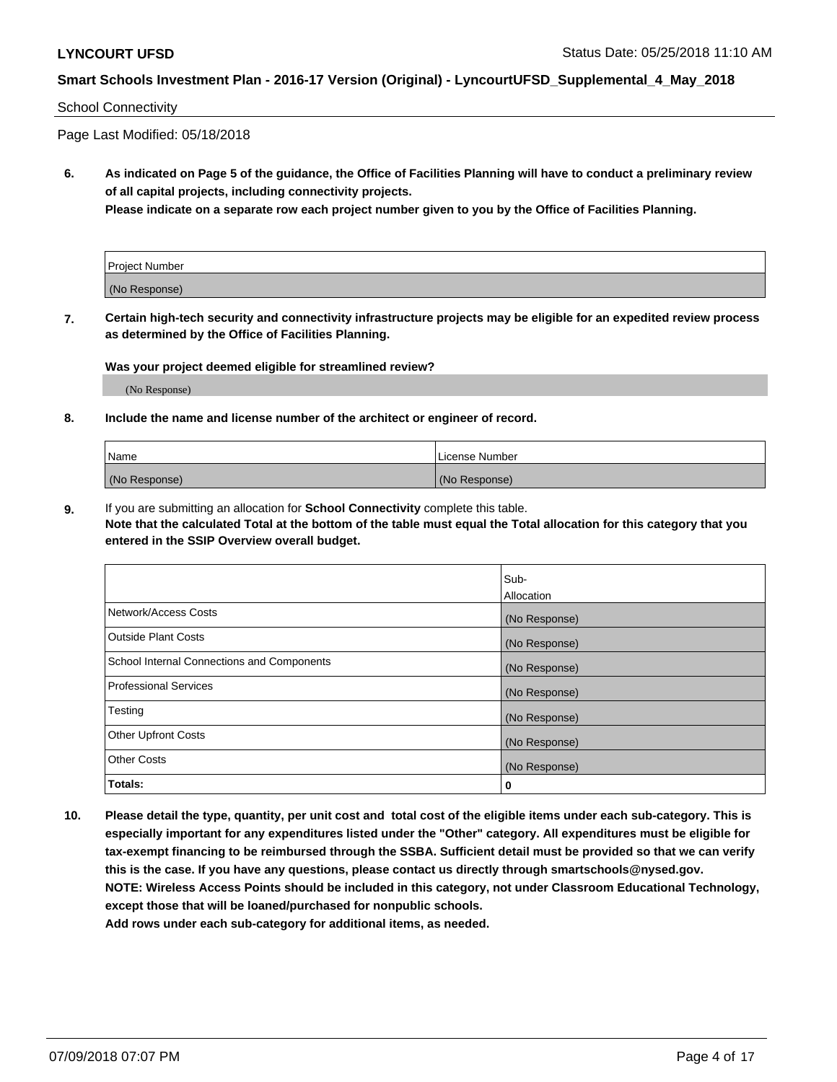#### School Connectivity

Page Last Modified: 05/18/2018

**6. As indicated on Page 5 of the guidance, the Office of Facilities Planning will have to conduct a preliminary review of all capital projects, including connectivity projects.**

**Please indicate on a separate row each project number given to you by the Office of Facilities Planning.**

| Project Number |  |
|----------------|--|
| (No Response)  |  |

**7. Certain high-tech security and connectivity infrastructure projects may be eligible for an expedited review process as determined by the Office of Facilities Planning.**

#### **Was your project deemed eligible for streamlined review?**

(No Response)

#### **8. Include the name and license number of the architect or engineer of record.**

| Name          | License Number |
|---------------|----------------|
| (No Response) | (No Response)  |

**9.** If you are submitting an allocation for **School Connectivity** complete this table.

**Note that the calculated Total at the bottom of the table must equal the Total allocation for this category that you entered in the SSIP Overview overall budget.** 

|                                            | Sub-          |
|--------------------------------------------|---------------|
|                                            | Allocation    |
| Network/Access Costs                       | (No Response) |
| Outside Plant Costs                        | (No Response) |
| School Internal Connections and Components | (No Response) |
| Professional Services                      | (No Response) |
| Testing                                    | (No Response) |
| <b>Other Upfront Costs</b>                 | (No Response) |
| <b>Other Costs</b>                         | (No Response) |
| Totals:                                    | 0             |

**10. Please detail the type, quantity, per unit cost and total cost of the eligible items under each sub-category. This is especially important for any expenditures listed under the "Other" category. All expenditures must be eligible for tax-exempt financing to be reimbursed through the SSBA. Sufficient detail must be provided so that we can verify this is the case. If you have any questions, please contact us directly through smartschools@nysed.gov. NOTE: Wireless Access Points should be included in this category, not under Classroom Educational Technology, except those that will be loaned/purchased for nonpublic schools.**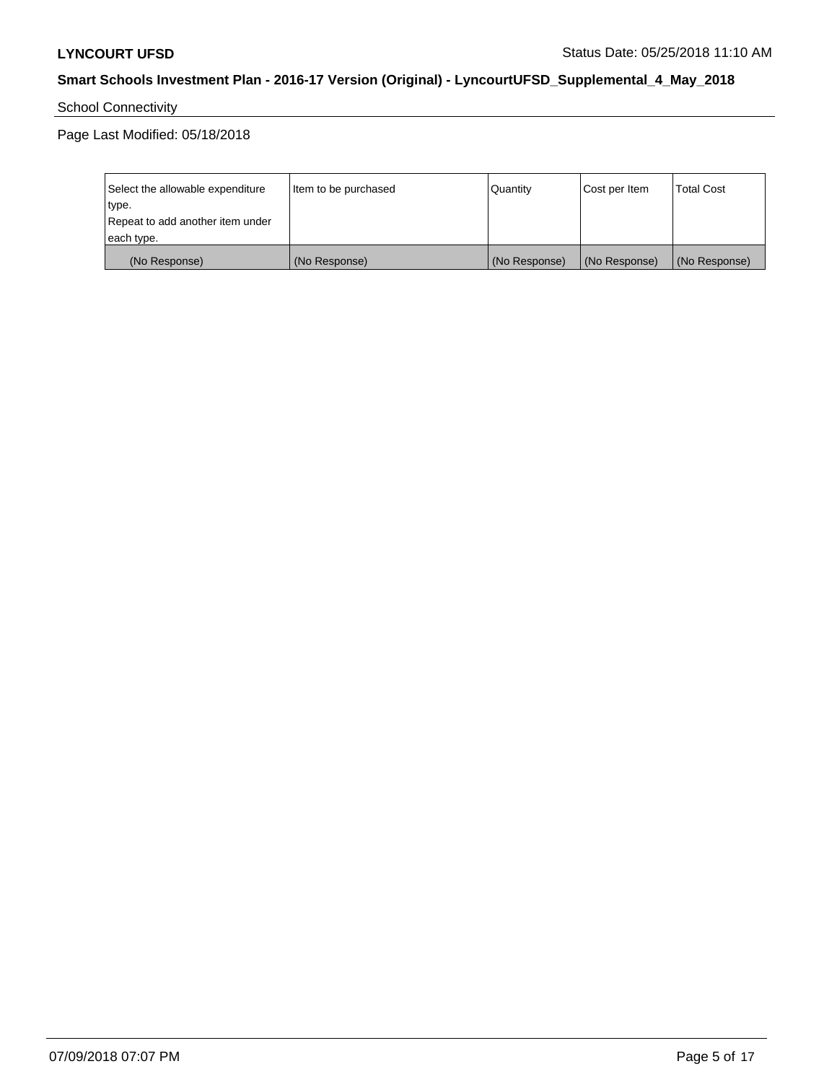# School Connectivity

| Select the allowable expenditure | Item to be purchased | Quantity      | Cost per Item | <b>Total Cost</b> |
|----------------------------------|----------------------|---------------|---------------|-------------------|
| type.                            |                      |               |               |                   |
| Repeat to add another item under |                      |               |               |                   |
| each type.                       |                      |               |               |                   |
| (No Response)                    | (No Response)        | (No Response) | (No Response) | (No Response)     |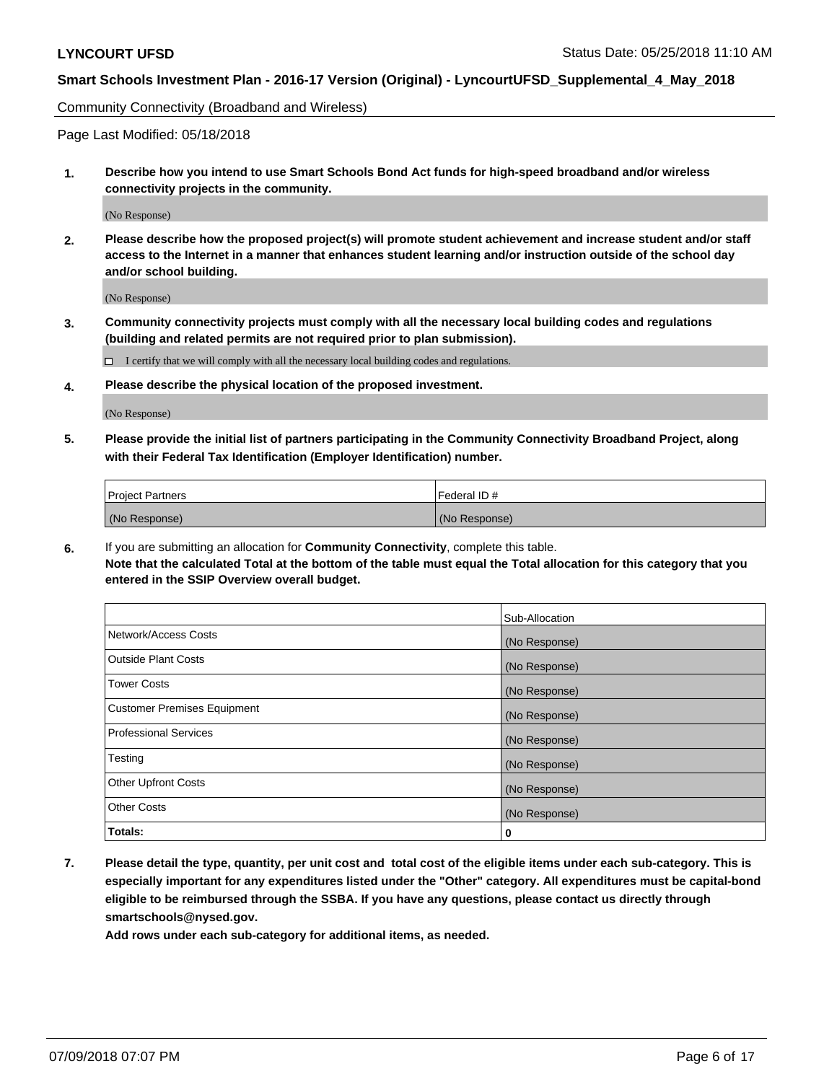Community Connectivity (Broadband and Wireless)

Page Last Modified: 05/18/2018

**1. Describe how you intend to use Smart Schools Bond Act funds for high-speed broadband and/or wireless connectivity projects in the community.**

(No Response)

**2. Please describe how the proposed project(s) will promote student achievement and increase student and/or staff access to the Internet in a manner that enhances student learning and/or instruction outside of the school day and/or school building.**

(No Response)

**3. Community connectivity projects must comply with all the necessary local building codes and regulations (building and related permits are not required prior to plan submission).**

 $\Box$  I certify that we will comply with all the necessary local building codes and regulations.

**4. Please describe the physical location of the proposed investment.**

(No Response)

**5. Please provide the initial list of partners participating in the Community Connectivity Broadband Project, along with their Federal Tax Identification (Employer Identification) number.**

| <b>Project Partners</b> | l Federal ID # |
|-------------------------|----------------|
| (No Response)           | (No Response)  |

**6.** If you are submitting an allocation for **Community Connectivity**, complete this table. **Note that the calculated Total at the bottom of the table must equal the Total allocation for this category that you entered in the SSIP Overview overall budget.**

|                                    | Sub-Allocation |
|------------------------------------|----------------|
| Network/Access Costs               | (No Response)  |
| Outside Plant Costs                | (No Response)  |
| <b>Tower Costs</b>                 | (No Response)  |
| <b>Customer Premises Equipment</b> | (No Response)  |
| Professional Services              | (No Response)  |
| Testing                            | (No Response)  |
| <b>Other Upfront Costs</b>         | (No Response)  |
| <b>Other Costs</b>                 | (No Response)  |
| Totals:                            | 0              |

**7. Please detail the type, quantity, per unit cost and total cost of the eligible items under each sub-category. This is especially important for any expenditures listed under the "Other" category. All expenditures must be capital-bond eligible to be reimbursed through the SSBA. If you have any questions, please contact us directly through smartschools@nysed.gov.**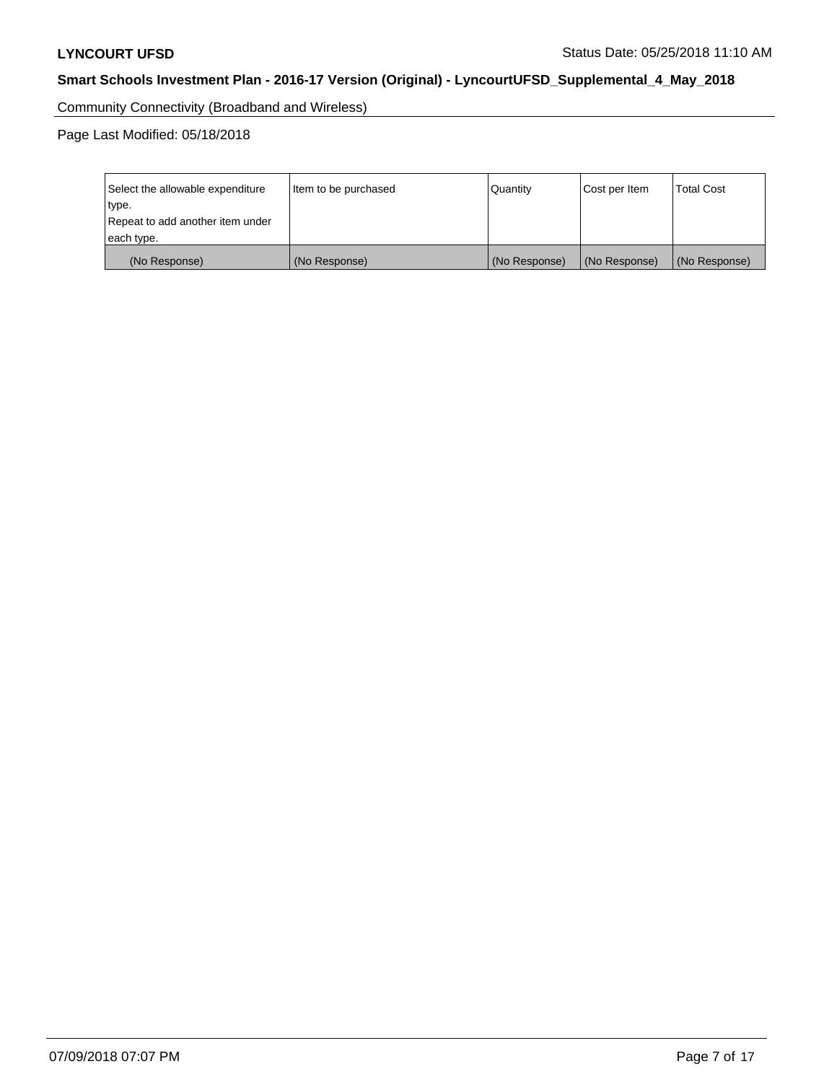Community Connectivity (Broadband and Wireless)

| Select the allowable expenditure | Item to be purchased | Quantity      | Cost per Item | <b>Total Cost</b> |
|----------------------------------|----------------------|---------------|---------------|-------------------|
| type.                            |                      |               |               |                   |
| Repeat to add another item under |                      |               |               |                   |
| each type.                       |                      |               |               |                   |
| (No Response)                    | (No Response)        | (No Response) | (No Response) | (No Response)     |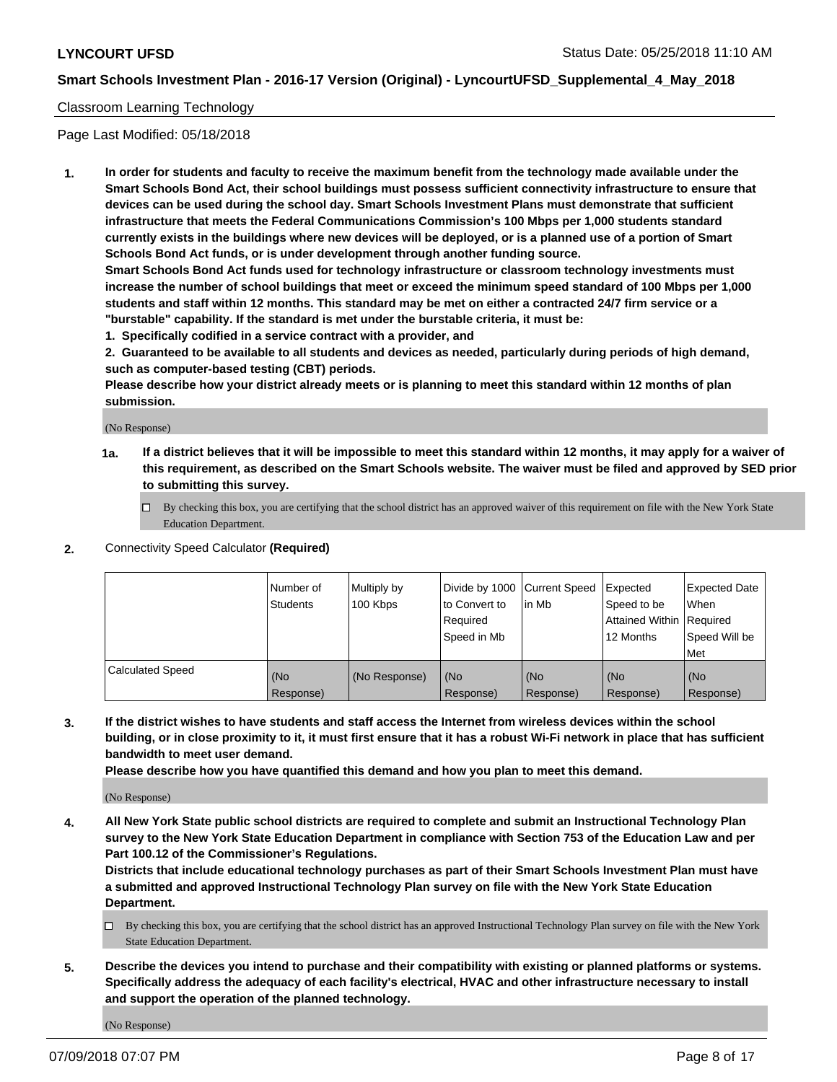### Classroom Learning Technology

Page Last Modified: 05/18/2018

**1. In order for students and faculty to receive the maximum benefit from the technology made available under the Smart Schools Bond Act, their school buildings must possess sufficient connectivity infrastructure to ensure that devices can be used during the school day. Smart Schools Investment Plans must demonstrate that sufficient infrastructure that meets the Federal Communications Commission's 100 Mbps per 1,000 students standard currently exists in the buildings where new devices will be deployed, or is a planned use of a portion of Smart Schools Bond Act funds, or is under development through another funding source.**

**Smart Schools Bond Act funds used for technology infrastructure or classroom technology investments must increase the number of school buildings that meet or exceed the minimum speed standard of 100 Mbps per 1,000 students and staff within 12 months. This standard may be met on either a contracted 24/7 firm service or a "burstable" capability. If the standard is met under the burstable criteria, it must be:**

**1. Specifically codified in a service contract with a provider, and**

**2. Guaranteed to be available to all students and devices as needed, particularly during periods of high demand, such as computer-based testing (CBT) periods.**

**Please describe how your district already meets or is planning to meet this standard within 12 months of plan submission.**

(No Response)

- **1a. If a district believes that it will be impossible to meet this standard within 12 months, it may apply for a waiver of this requirement, as described on the Smart Schools website. The waiver must be filed and approved by SED prior to submitting this survey.**
	- By checking this box, you are certifying that the school district has an approved waiver of this requirement on file with the New York State Education Department.
- **2.** Connectivity Speed Calculator **(Required)**

|                         | l Number of<br><b>Students</b> | Multiply by<br>100 Kbps | Divide by 1000 Current Speed<br>to Convert to<br>Required<br>l Speed in Mb | lin Mb           | Expected<br>Speed to be<br>Attained Within Required<br>12 Months | Expected Date<br>When<br>Speed Will be<br><b>Met</b> |
|-------------------------|--------------------------------|-------------------------|----------------------------------------------------------------------------|------------------|------------------------------------------------------------------|------------------------------------------------------|
| <b>Calculated Speed</b> | (No<br>Response)               | (No Response)           | (No<br>Response)                                                           | (No<br>Response) | (No<br>Response)                                                 | l (No<br>Response)                                   |

**3. If the district wishes to have students and staff access the Internet from wireless devices within the school building, or in close proximity to it, it must first ensure that it has a robust Wi-Fi network in place that has sufficient bandwidth to meet user demand.**

**Please describe how you have quantified this demand and how you plan to meet this demand.**

(No Response)

**4. All New York State public school districts are required to complete and submit an Instructional Technology Plan survey to the New York State Education Department in compliance with Section 753 of the Education Law and per Part 100.12 of the Commissioner's Regulations.**

**Districts that include educational technology purchases as part of their Smart Schools Investment Plan must have a submitted and approved Instructional Technology Plan survey on file with the New York State Education Department.**

- By checking this box, you are certifying that the school district has an approved Instructional Technology Plan survey on file with the New York State Education Department.
- **5. Describe the devices you intend to purchase and their compatibility with existing or planned platforms or systems. Specifically address the adequacy of each facility's electrical, HVAC and other infrastructure necessary to install and support the operation of the planned technology.**

(No Response)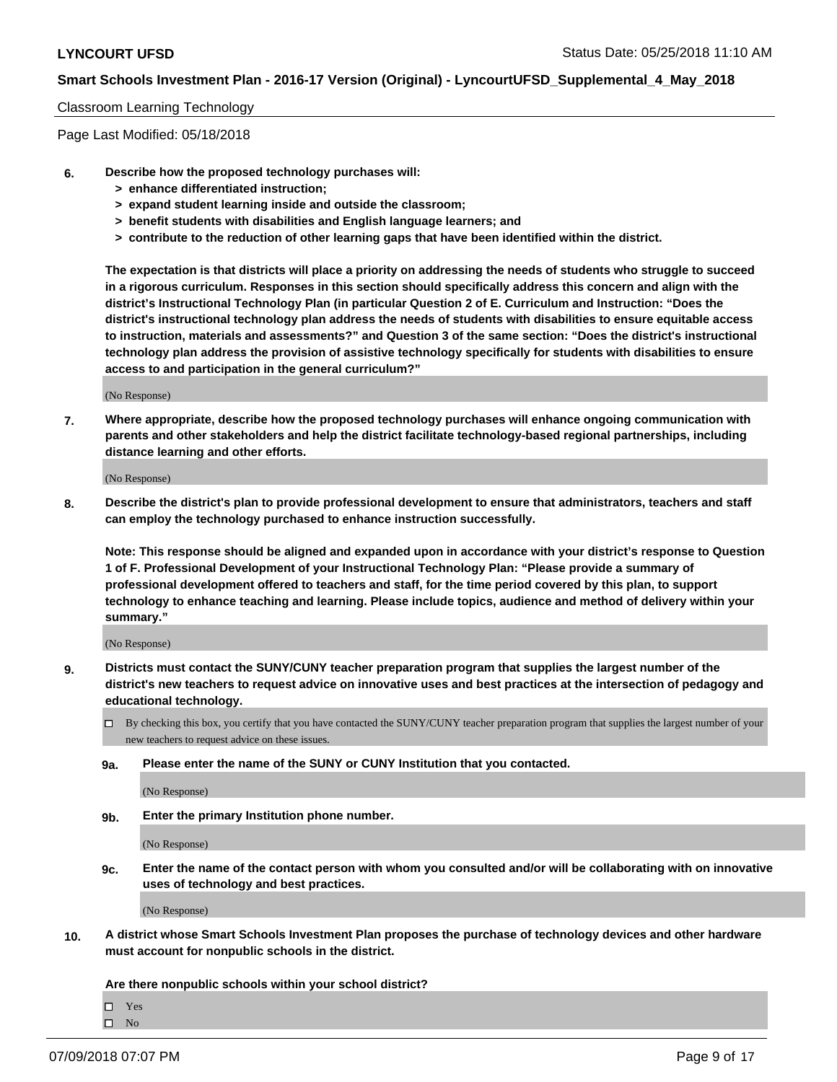#### Classroom Learning Technology

Page Last Modified: 05/18/2018

- **6. Describe how the proposed technology purchases will:**
	- **> enhance differentiated instruction;**
	- **> expand student learning inside and outside the classroom;**
	- **> benefit students with disabilities and English language learners; and**
	- **> contribute to the reduction of other learning gaps that have been identified within the district.**

**The expectation is that districts will place a priority on addressing the needs of students who struggle to succeed in a rigorous curriculum. Responses in this section should specifically address this concern and align with the district's Instructional Technology Plan (in particular Question 2 of E. Curriculum and Instruction: "Does the district's instructional technology plan address the needs of students with disabilities to ensure equitable access to instruction, materials and assessments?" and Question 3 of the same section: "Does the district's instructional technology plan address the provision of assistive technology specifically for students with disabilities to ensure access to and participation in the general curriculum?"**

(No Response)

**7. Where appropriate, describe how the proposed technology purchases will enhance ongoing communication with parents and other stakeholders and help the district facilitate technology-based regional partnerships, including distance learning and other efforts.**

(No Response)

**8. Describe the district's plan to provide professional development to ensure that administrators, teachers and staff can employ the technology purchased to enhance instruction successfully.**

**Note: This response should be aligned and expanded upon in accordance with your district's response to Question 1 of F. Professional Development of your Instructional Technology Plan: "Please provide a summary of professional development offered to teachers and staff, for the time period covered by this plan, to support technology to enhance teaching and learning. Please include topics, audience and method of delivery within your summary."**

(No Response)

- **9. Districts must contact the SUNY/CUNY teacher preparation program that supplies the largest number of the district's new teachers to request advice on innovative uses and best practices at the intersection of pedagogy and educational technology.**
	- $\Box$  By checking this box, you certify that you have contacted the SUNY/CUNY teacher preparation program that supplies the largest number of your new teachers to request advice on these issues.
	- **9a. Please enter the name of the SUNY or CUNY Institution that you contacted.**

(No Response)

**9b. Enter the primary Institution phone number.**

(No Response)

**9c. Enter the name of the contact person with whom you consulted and/or will be collaborating with on innovative uses of technology and best practices.**

(No Response)

**10. A district whose Smart Schools Investment Plan proposes the purchase of technology devices and other hardware must account for nonpublic schools in the district.**

**Are there nonpublic schools within your school district?**

Yes

 $\hfill \square$  No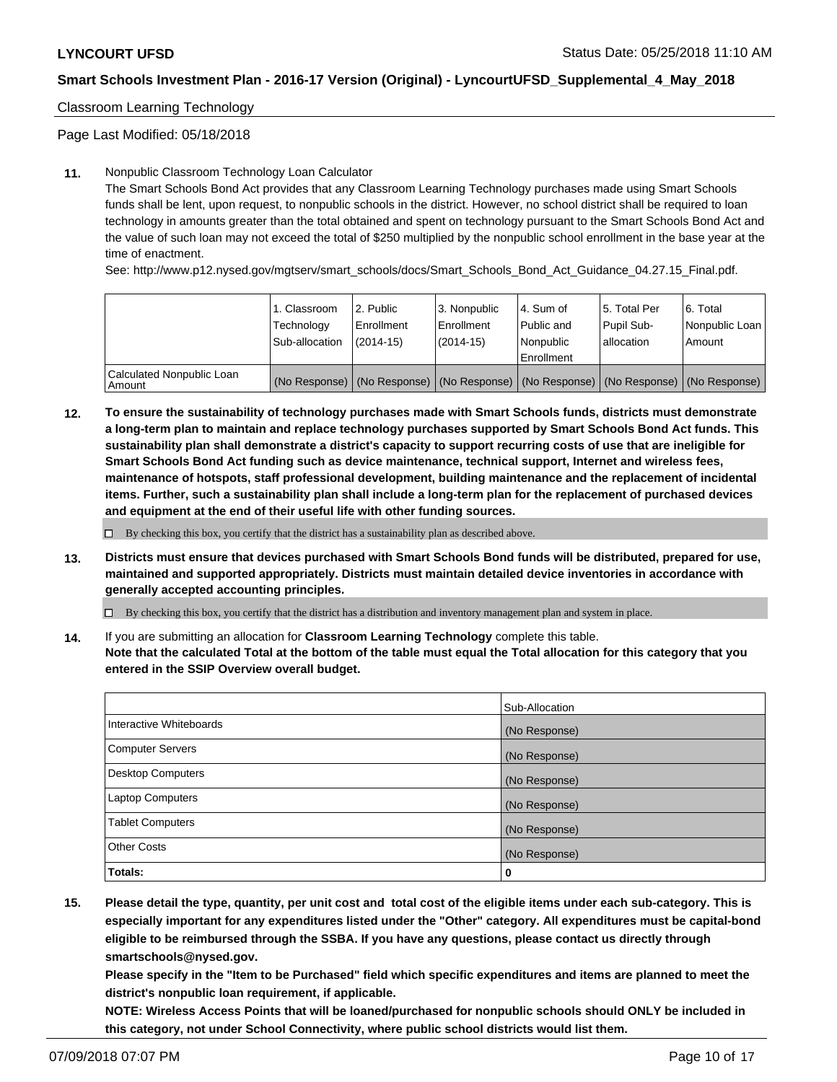Classroom Learning Technology

Page Last Modified: 05/18/2018

#### **11.** Nonpublic Classroom Technology Loan Calculator

The Smart Schools Bond Act provides that any Classroom Learning Technology purchases made using Smart Schools funds shall be lent, upon request, to nonpublic schools in the district. However, no school district shall be required to loan technology in amounts greater than the total obtained and spent on technology pursuant to the Smart Schools Bond Act and the value of such loan may not exceed the total of \$250 multiplied by the nonpublic school enrollment in the base year at the time of enactment.

See: http://www.p12.nysed.gov/mgtserv/smart\_schools/docs/Smart\_Schools\_Bond\_Act\_Guidance\_04.27.15\_Final.pdf.

|                                     | 1. Classroom<br>Technology<br>Sub-allocation | l 2. Public<br>Enrollment<br>$(2014 - 15)$ | <sup>1</sup> 3. Nonpublic<br>Enrollment<br>(2014-15) | l 4. Sum of<br>Public and<br>l Nonpublic<br>Enrollment                              | l 5. Total Per<br>Pupil Sub-<br>l allocation | l 6. Total<br>Nonpublic Loan<br>Amount |
|-------------------------------------|----------------------------------------------|--------------------------------------------|------------------------------------------------------|-------------------------------------------------------------------------------------|----------------------------------------------|----------------------------------------|
| Calculated Nonpublic Loan<br>Amount |                                              |                                            |                                                      | (No Response) (No Response) (No Response) (No Response) (No Response) (No Response) |                                              |                                        |

**12. To ensure the sustainability of technology purchases made with Smart Schools funds, districts must demonstrate a long-term plan to maintain and replace technology purchases supported by Smart Schools Bond Act funds. This sustainability plan shall demonstrate a district's capacity to support recurring costs of use that are ineligible for Smart Schools Bond Act funding such as device maintenance, technical support, Internet and wireless fees, maintenance of hotspots, staff professional development, building maintenance and the replacement of incidental items. Further, such a sustainability plan shall include a long-term plan for the replacement of purchased devices and equipment at the end of their useful life with other funding sources.**

 $\square$  By checking this box, you certify that the district has a sustainability plan as described above.

**13. Districts must ensure that devices purchased with Smart Schools Bond funds will be distributed, prepared for use, maintained and supported appropriately. Districts must maintain detailed device inventories in accordance with generally accepted accounting principles.**

By checking this box, you certify that the district has a distribution and inventory management plan and system in place.

**14.** If you are submitting an allocation for **Classroom Learning Technology** complete this table.

**Note that the calculated Total at the bottom of the table must equal the Total allocation for this category that you entered in the SSIP Overview overall budget.**

|                          | Sub-Allocation |
|--------------------------|----------------|
| Interactive Whiteboards  | (No Response)  |
| <b>Computer Servers</b>  | (No Response)  |
| <b>Desktop Computers</b> | (No Response)  |
| Laptop Computers         | (No Response)  |
| <b>Tablet Computers</b>  | (No Response)  |
| <b>Other Costs</b>       | (No Response)  |
| Totals:                  | 0              |

**15. Please detail the type, quantity, per unit cost and total cost of the eligible items under each sub-category. This is especially important for any expenditures listed under the "Other" category. All expenditures must be capital-bond eligible to be reimbursed through the SSBA. If you have any questions, please contact us directly through smartschools@nysed.gov.**

**Please specify in the "Item to be Purchased" field which specific expenditures and items are planned to meet the district's nonpublic loan requirement, if applicable.**

**NOTE: Wireless Access Points that will be loaned/purchased for nonpublic schools should ONLY be included in this category, not under School Connectivity, where public school districts would list them.**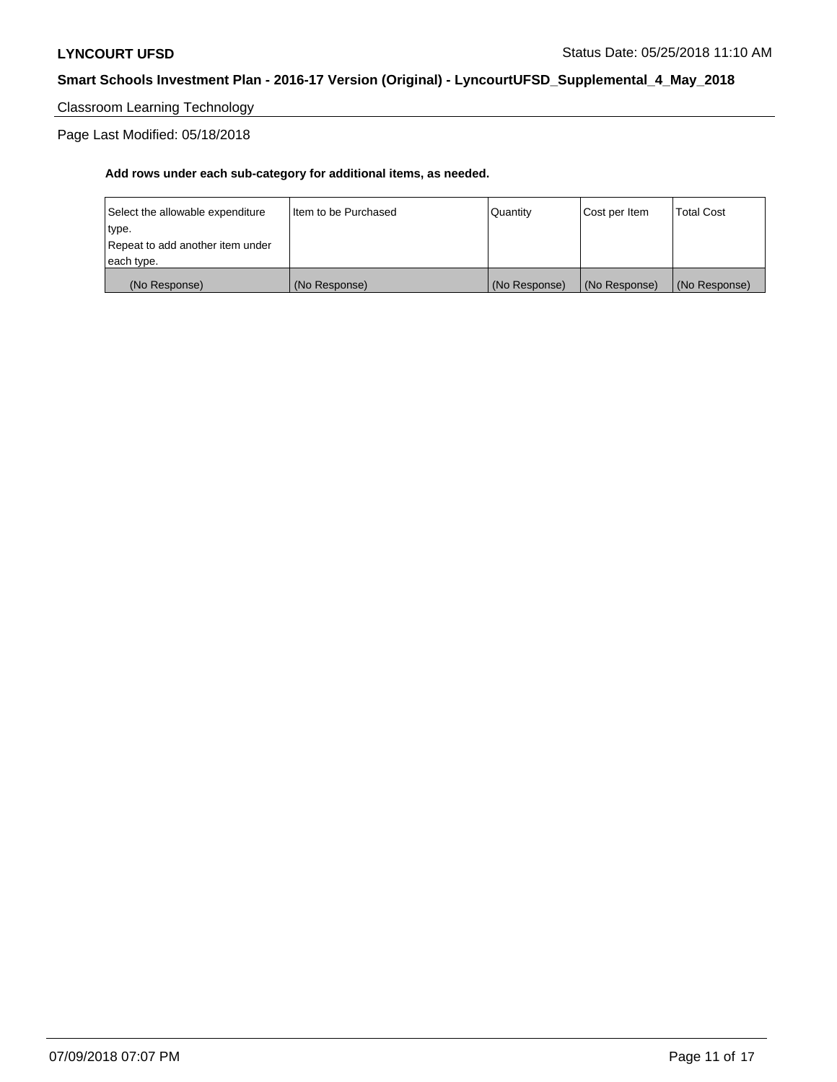Classroom Learning Technology

Page Last Modified: 05/18/2018

| (No Response)                    | (No Response)          | (No Response) | (No Response) | (No Response)     |
|----------------------------------|------------------------|---------------|---------------|-------------------|
| each type.                       |                        |               |               |                   |
| Repeat to add another item under |                        |               |               |                   |
| type.                            |                        |               |               |                   |
| Select the allowable expenditure | I Item to be Purchased | l Quantitv    | Cost per Item | <b>Total Cost</b> |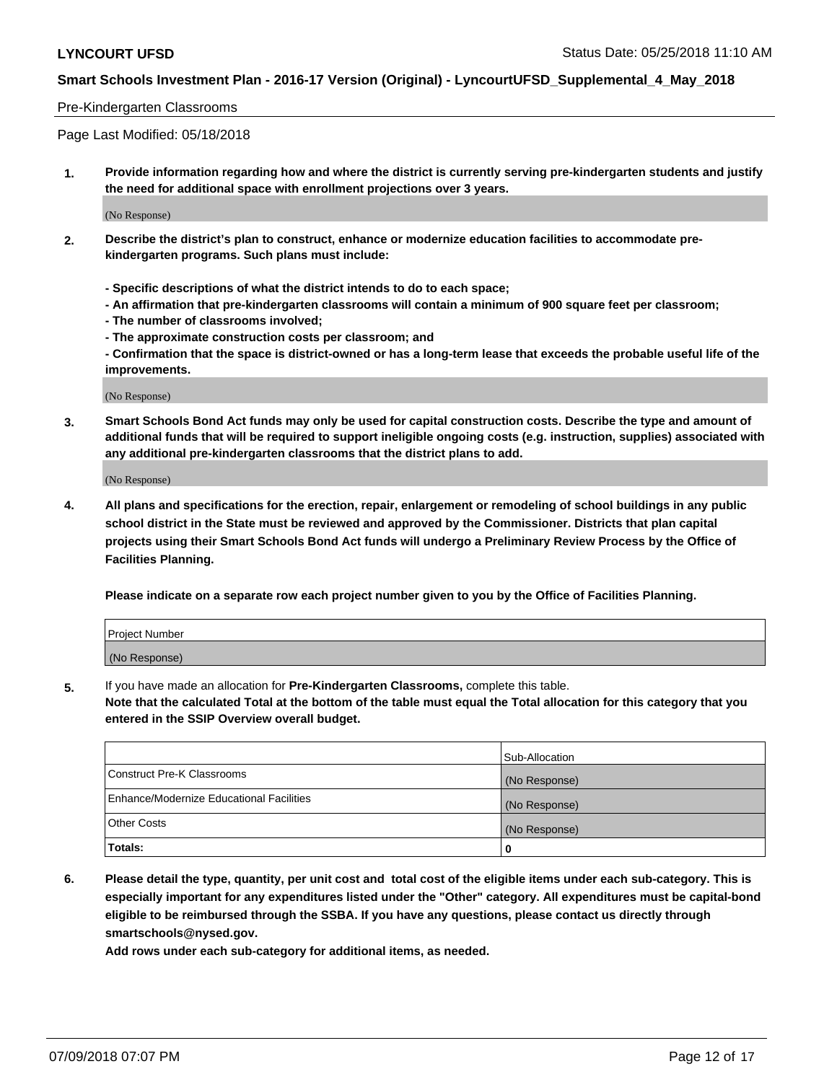#### Pre-Kindergarten Classrooms

Page Last Modified: 05/18/2018

**1. Provide information regarding how and where the district is currently serving pre-kindergarten students and justify the need for additional space with enrollment projections over 3 years.**

(No Response)

- **2. Describe the district's plan to construct, enhance or modernize education facilities to accommodate prekindergarten programs. Such plans must include:**
	- **Specific descriptions of what the district intends to do to each space;**
	- **An affirmation that pre-kindergarten classrooms will contain a minimum of 900 square feet per classroom;**
	- **The number of classrooms involved;**
	- **The approximate construction costs per classroom; and**
	- **Confirmation that the space is district-owned or has a long-term lease that exceeds the probable useful life of the improvements.**

(No Response)

**3. Smart Schools Bond Act funds may only be used for capital construction costs. Describe the type and amount of additional funds that will be required to support ineligible ongoing costs (e.g. instruction, supplies) associated with any additional pre-kindergarten classrooms that the district plans to add.**

(No Response)

**4. All plans and specifications for the erection, repair, enlargement or remodeling of school buildings in any public school district in the State must be reviewed and approved by the Commissioner. Districts that plan capital projects using their Smart Schools Bond Act funds will undergo a Preliminary Review Process by the Office of Facilities Planning.**

**Please indicate on a separate row each project number given to you by the Office of Facilities Planning.**

| <b>Project Number</b> |  |
|-----------------------|--|
| (No Response)         |  |

**5.** If you have made an allocation for **Pre-Kindergarten Classrooms,** complete this table.

**Note that the calculated Total at the bottom of the table must equal the Total allocation for this category that you entered in the SSIP Overview overall budget.**

|                                          | Sub-Allocation |
|------------------------------------------|----------------|
| Construct Pre-K Classrooms               | (No Response)  |
| Enhance/Modernize Educational Facilities | (No Response)  |
| Other Costs                              | (No Response)  |
| Totals:                                  | 0              |

**6. Please detail the type, quantity, per unit cost and total cost of the eligible items under each sub-category. This is especially important for any expenditures listed under the "Other" category. All expenditures must be capital-bond eligible to be reimbursed through the SSBA. If you have any questions, please contact us directly through smartschools@nysed.gov.**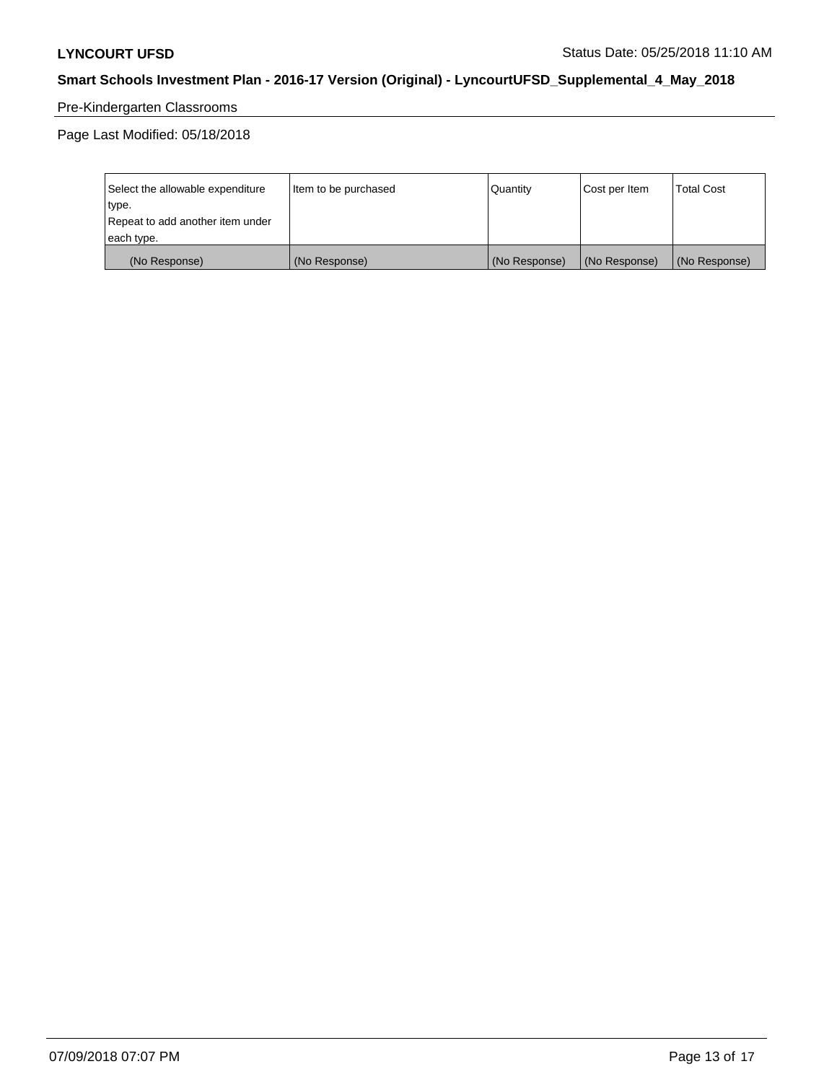# Pre-Kindergarten Classrooms

| Select the allowable expenditure | Item to be purchased | Quantity      | Cost per Item | <b>Total Cost</b> |
|----------------------------------|----------------------|---------------|---------------|-------------------|
| type.                            |                      |               |               |                   |
| Repeat to add another item under |                      |               |               |                   |
| each type.                       |                      |               |               |                   |
| (No Response)                    | (No Response)        | (No Response) | (No Response) | (No Response)     |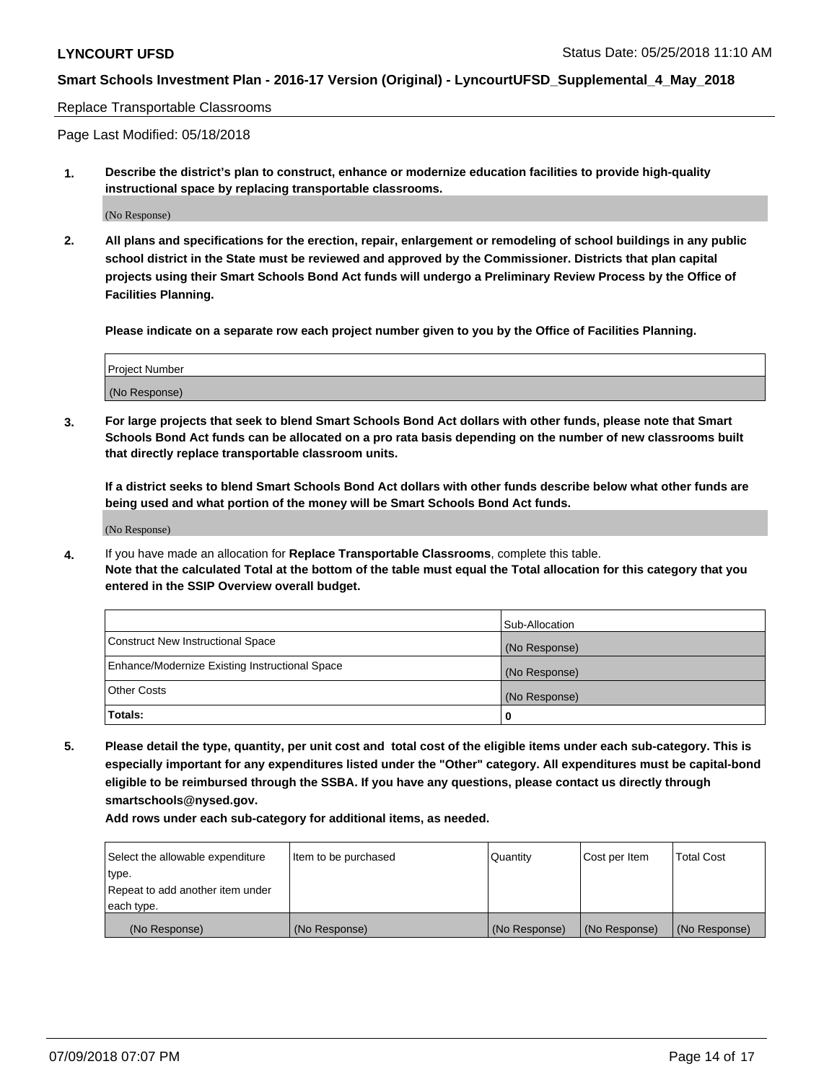#### Replace Transportable Classrooms

Page Last Modified: 05/18/2018

**1. Describe the district's plan to construct, enhance or modernize education facilities to provide high-quality instructional space by replacing transportable classrooms.**

(No Response)

**2. All plans and specifications for the erection, repair, enlargement or remodeling of school buildings in any public school district in the State must be reviewed and approved by the Commissioner. Districts that plan capital projects using their Smart Schools Bond Act funds will undergo a Preliminary Review Process by the Office of Facilities Planning.**

**Please indicate on a separate row each project number given to you by the Office of Facilities Planning.**

| <b>Project Number</b> |  |
|-----------------------|--|
| (No Response)         |  |
|                       |  |

**3. For large projects that seek to blend Smart Schools Bond Act dollars with other funds, please note that Smart Schools Bond Act funds can be allocated on a pro rata basis depending on the number of new classrooms built that directly replace transportable classroom units.**

**If a district seeks to blend Smart Schools Bond Act dollars with other funds describe below what other funds are being used and what portion of the money will be Smart Schools Bond Act funds.**

(No Response)

**4.** If you have made an allocation for **Replace Transportable Classrooms**, complete this table. **Note that the calculated Total at the bottom of the table must equal the Total allocation for this category that you entered in the SSIP Overview overall budget.**

|                                                | Sub-Allocation |
|------------------------------------------------|----------------|
| Construct New Instructional Space              | (No Response)  |
| Enhance/Modernize Existing Instructional Space | (No Response)  |
| Other Costs                                    | (No Response)  |
| Totals:                                        | 0              |

**5. Please detail the type, quantity, per unit cost and total cost of the eligible items under each sub-category. This is especially important for any expenditures listed under the "Other" category. All expenditures must be capital-bond eligible to be reimbursed through the SSBA. If you have any questions, please contact us directly through smartschools@nysed.gov.**

| Select the allowable expenditure | Item to be purchased | Quantity      | Cost per Item | <b>Total Cost</b> |
|----------------------------------|----------------------|---------------|---------------|-------------------|
| type.                            |                      |               |               |                   |
| Repeat to add another item under |                      |               |               |                   |
| each type.                       |                      |               |               |                   |
| (No Response)                    | (No Response)        | (No Response) | (No Response) | (No Response)     |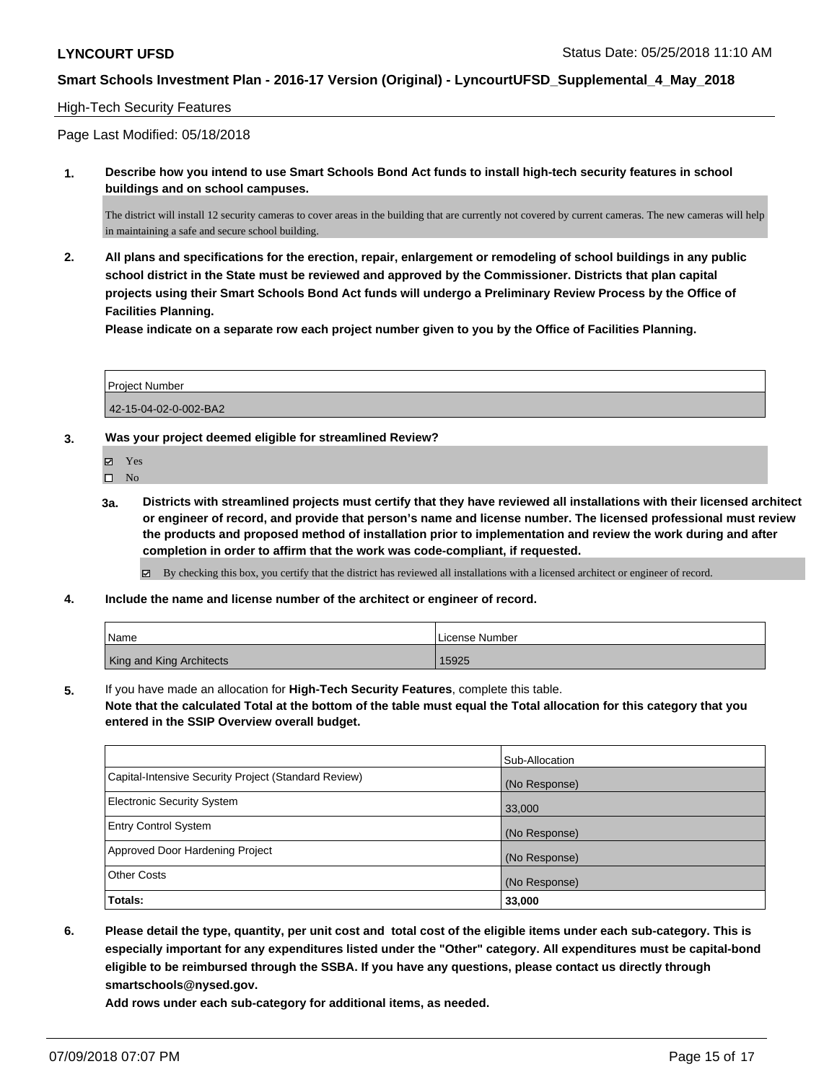#### High-Tech Security Features

Page Last Modified: 05/18/2018

**1. Describe how you intend to use Smart Schools Bond Act funds to install high-tech security features in school buildings and on school campuses.**

The district will install 12 security cameras to cover areas in the building that are currently not covered by current cameras. The new cameras will help in maintaining a safe and secure school building.

**2. All plans and specifications for the erection, repair, enlargement or remodeling of school buildings in any public school district in the State must be reviewed and approved by the Commissioner. Districts that plan capital projects using their Smart Schools Bond Act funds will undergo a Preliminary Review Process by the Office of Facilities Planning.** 

**Please indicate on a separate row each project number given to you by the Office of Facilities Planning.**

| Project Number        |  |
|-----------------------|--|
| 42-15-04-02-0-002-BA2 |  |

**3. Was your project deemed eligible for streamlined Review?**

Yes

- $\square$  No
- **3a. Districts with streamlined projects must certify that they have reviewed all installations with their licensed architect or engineer of record, and provide that person's name and license number. The licensed professional must review the products and proposed method of installation prior to implementation and review the work during and after completion in order to affirm that the work was code-compliant, if requested.**

 $\boxtimes$  By checking this box, you certify that the district has reviewed all installations with a licensed architect or engineer of record.

**4. Include the name and license number of the architect or engineer of record.**

| Name                     | License Number |
|--------------------------|----------------|
| King and King Architects | 15925          |

**5.** If you have made an allocation for **High-Tech Security Features**, complete this table.

**Note that the calculated Total at the bottom of the table must equal the Total allocation for this category that you entered in the SSIP Overview overall budget.**

|                                                      | Sub-Allocation |
|------------------------------------------------------|----------------|
| Capital-Intensive Security Project (Standard Review) | (No Response)  |
| <b>Electronic Security System</b>                    | 33,000         |
| <b>Entry Control System</b>                          | (No Response)  |
| Approved Door Hardening Project                      | (No Response)  |
| <b>Other Costs</b>                                   | (No Response)  |
| Totals:                                              | 33,000         |

**6. Please detail the type, quantity, per unit cost and total cost of the eligible items under each sub-category. This is especially important for any expenditures listed under the "Other" category. All expenditures must be capital-bond eligible to be reimbursed through the SSBA. If you have any questions, please contact us directly through smartschools@nysed.gov.**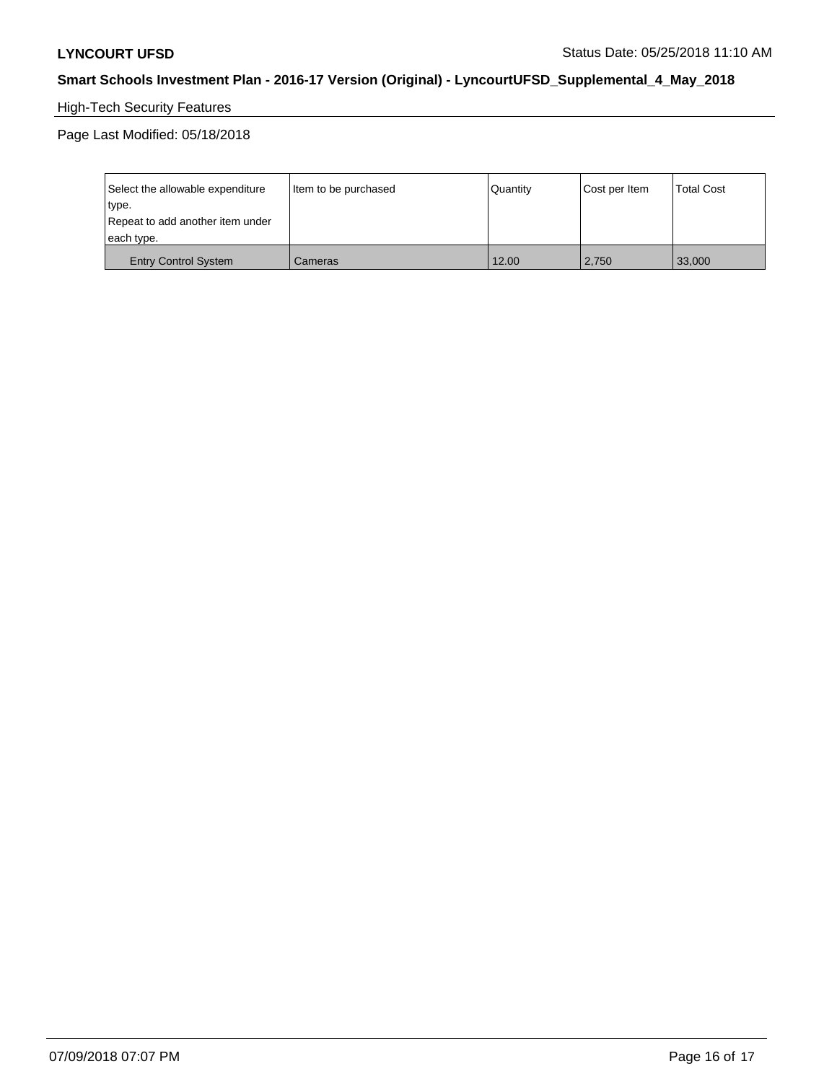# High-Tech Security Features

| Select the allowable expenditure | Item to be purchased | Quantity | Cost per Item | <b>Total Cost</b> |
|----------------------------------|----------------------|----------|---------------|-------------------|
| type.                            |                      |          |               |                   |
| Repeat to add another item under |                      |          |               |                   |
| each type.                       |                      |          |               |                   |
| <b>Entry Control System</b>      | Cameras              | 12.00    | 2,750         | 33,000            |